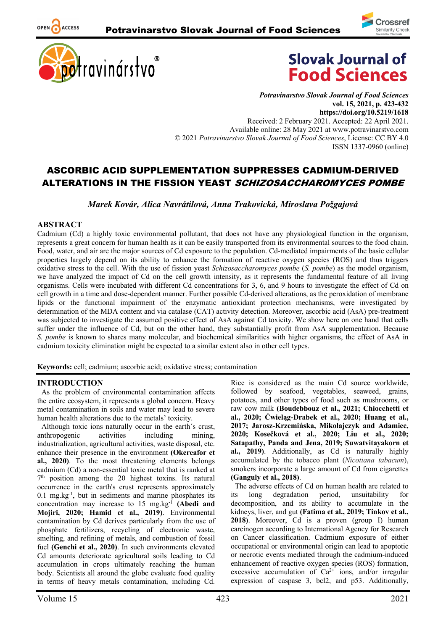





*Potravinarstvo Slovak Journal of Food Sciences* **vol. 15, 2021, p. 423-432 https://doi.org/10.5219/1618** Received: 2 February 2021. Accepted: 22 April 2021. Available online: 28 May 2021 at www.potravinarstvo.com © 2021 *Potravinarstvo Slovak Journal of Food Sciences*, License: CC BY 4.0 ISSN 1337-0960 (online)

# ASCORBIC ACID SUPPLEMENTATION SUPPRESSES CADMIUM-DERIVED ALTERATIONS IN THE FISSION YEAST *SCHIZOSACCHAROMYCES POMBE*

*Marek Kovár, Alica Navrátilová, Anna Trakovická, Miroslava Požgajová*

## **ABSTRACT**

OPEN ACCESS

Cadmium (Cd) a highly toxic environmental pollutant, that does not have any physiological function in the organism, represents a great concern for human health as it can be easily transported from its environmental sources to the food chain. Food, water, and air are the major sources of Cd exposure to the population. Cd-mediated impairments of the basic cellular properties largely depend on its ability to enhance the formation of reactive oxygen species (ROS) and thus triggers oxidative stress to the cell. With the use of fission yeast *Schizosaccharomyces pombe* (*S. pombe*) as the model organism, we have analyzed the impact of Cd on the cell growth intensity, as it represents the fundamental feature of all living organisms. Cells were incubated with different Cd concentrations for 3, 6, and 9 hours to investigate the effect of Cd on cell growth in a time and dose-dependent manner. Further possible Cd-derived alterations, as the peroxidation of membrane lipids or the functional impairment of the enzymatic antioxidant protection mechanisms, were investigated by determination of the MDA content and via catalase (CAT) activity detection. Moreover, ascorbic acid (AsA) pre-treatment was subjected to investigate the assumed positive effect of AsA against Cd toxicity. We show here on one hand that cells suffer under the influence of Cd, but on the other hand, they substantially profit from AsA supplementation. Because *S. pombe* is known to shares many molecular, and biochemical similarities with higher organisms, the effect of AsA in cadmium toxicity elimination might be expected to a similar extent also in other cell types.

**Keywords:** cell; cadmium; ascorbic acid; oxidative stress; contamination

# **INTRODUCTION**

As the problem of environmental contamination affects the entire ecosystem, it represents a global concern. Heavy metal contamination in soils and water may lead to severe human health alterations due to the metals' toxicity.

Although toxic ions naturally occur in the earth´s crust, anthropogenic activities including mining, industrialization, agricultural activities, waste disposal, etc. enhance their presence in the environment **(Okereafor et al., 2020)**. To the most threatening elements belongs cadmium (Cd) a non-essential toxic metal that is ranked at  $7<sup>th</sup>$  position among the 20 highest toxins. Its natural occurrence in the earth's crust represents approximately 0.1 mg.kg-1 , but in sediments and marine phosphates its concentration may increase to 15 mg.kg-1 **(Abedi and Mojiri, 2020; Hamid et al., 2019)**. Environmental contamination by Cd derives particularly from the use of phosphate fertilizers, recycling of electronic waste, smelting, and refining of metals, and combustion of fossil fuel **(Genchi et al., 2020)**. In such environments elevated Cd amounts deteriorate agricultural soils leading to Cd accumulation in crops ultimately reaching the human body. Scientists all around the globe evaluate food quality in terms of heavy metals contamination, including Cd.

Rice is considered as the main Cd source worldwide, followed by seafood, vegetables, seaweed, grains, potatoes, and other types of food such as mushrooms, or raw cow milk **(Boudebbouz et al., 2021; Chiocchetti et al., 2020; Ćwieląg-Drabek et al., 2020; Huang et al., 2017; Jarosz‐Krzemińska, Mikołajczyk and Adamiec, 2020; Kosečková et al., 2020; Liu et al., 2020; Satapathy, Panda and Jena, 2019; Suwatvitayakorn et al., 2019)**. Additionally, as Cd is naturally highly accumulated by the tobacco plant (*Nicotiana tabacum*), smokers incorporate a large amount of Cd from cigarettes **(Ganguly et al., 2018)**.

The adverse effects of Cd on human health are related to its long degradation period, unsuitability for decomposition, and its ability to accumulate in the kidneys, liver, and gut **(Fatima et al., 2019; Tinkov et al., 2018)**. Moreover, Cd is a proven (group I) human carcinogen according to International Agency for Research on Cancer classification. Cadmium exposure of either occupational or environmental origin can lead to apoptotic or necrotic events mediated through the cadmium-induced enhancement of reactive oxygen species (ROS) formation, excessive accumulation of  $Ca^{2+}$  ions, and/or irregular expression of caspase 3, bcl2, and p53. Additionally,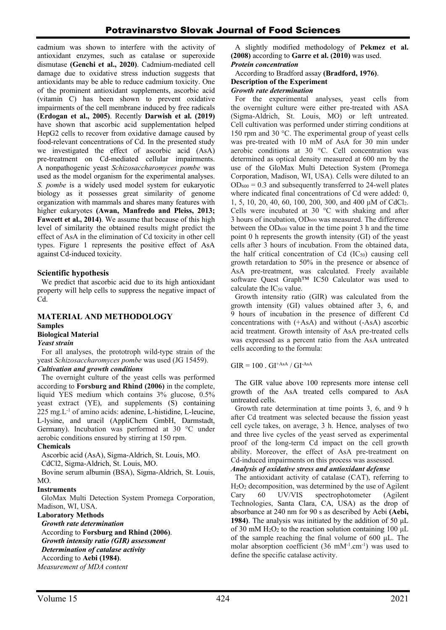cadmium was shown to interfere with the activity of antioxidant enzymes, such as catalase or superoxide dismutase **(Genchi et al., 2020)**. Cadmium-mediated cell damage due to oxidative stress induction suggests that antioxidants may be able to reduce cadmium toxicity. One of the prominent antioxidant supplements, ascorbic acid (vitamin C) has been shown to prevent oxidative impairments of the cell membrane induced by free radicals **(Erdogan et al., 2005)**. Recently **Darwish et al. (2019)** have shown that ascorbic acid supplementation helped HepG2 cells to recover from oxidative damage caused by food-relevant concentrations of Cd. In the presented study we investigated the effect of ascorbic acid (AsA) pre-treatment on Cd-mediated cellular impairments. A nonpathogenic yeast *Schizosaccharomyces pombe* was used as the model organism for the experimental analyses. *S. pombe* is a widely used model system for eukaryotic biology as it possesses great similarity of genome organization with mammals and shares many features with higher eukaryotes **(Awan, Manfredo and Pleiss, 2013; Fawcett et al., 2014)**. We assume that because of this high level of similarity the obtained results might predict the effect of AsA in the elimination of Cd toxicity in other cell types. Figure 1 represents the positive effect of AsA against Cd-induced toxicity.

# **Scientific hypothesis**

We predict that ascorbic acid due to its high antioxidant property will help cells to suppress the negative impact of Cd.

#### **MATERIAL AND METHODOLOGY Samples Biological Material** *Yeast strain*

For all analyses, the prototroph wild-type strain of the yeast *Schizosaccharomyces pombe* was used (JG 15459).

### *Cultivation and growth conditions*

The overnight culture of the yeast cells was performed according to **Forsburg and Rhind (2006)** in the complete, liquid YES medium which contains 3% glucose, 0.5% yeast extract (YE), and supplements (S) containing  $225 \text{ mg} \cdot L^{-1}$  of amino acids: adenine, L-histidine, L-leucine, L-lysine, and uracil (AppliChem GmbH, Darmstadt, Germany). Incubation was performed at 30 °C under aerobic conditions ensured by stirring at 150 rpm.

# **Chemicals**

Ascorbic acid (AsA), Sigma-Aldrich, St. Louis, MO.

CdCl2, Sigma-Aldrich, St. Louis, MO.

Bovine serum albumin (BSA), Sigma-Aldrich, St. Louis,  $MO$ 

### **Instruments**

GloMax Multi Detection System Promega Corporation, Madison, WI, USA.

### **Laboratory Methods**

*Growth rate determination* According to **Forsburg and Rhind (2006)**. *Growth intensity ratio (GIR) assessment Determination of catalase activity* According to **Aebi (1984)**. *Measurement of MDA content*

A slightly modified methodology of **Pekmez et al. (2008)** according to **Garre et al. (2010)** was used. *Protein concentration*

# According to Bradford assay **(Bradford, 1976)**. **Description of the Experiment**

### *Growth rate determination*

For the experimental analyses, yeast cells from the overnight culture were either pre-treated with ASA (Sigma-Aldrich, St. Louis, MO) or left untreated. Cell cultivation was performed under stirring conditions at 150 rpm and 30 °C. The experimental group of yeast cells was pre-treated with 10 mM of AsA for 30 min under aerobic conditions at 30 °C. Cell concentration was determined as optical density measured at 600 nm by the use of the GloMax Multi Detection System (Promega Corporation, Madison, WI, USA). Cells were diluted to an  $OD<sub>600</sub> = 0.3$  and subsequently transferred to 24-well plates where indicated final concentrations of Cd were added: 0, 1, 5, 10, 20, 40, 60, 100, 200, 300, and 400 μM of CdCl2. Cells were incubated at 30 °C with shaking and after 3 hours of incubation, OD600 was measured. The difference between the  $OD_{600}$  value in the time point 3 h and the time point 0 h represents the growth intensity (GI) of the yeast cells after 3 hours of incubation. From the obtained data, the half critical concentration of  $Cd$   $(IC_{50})$  causing cell growth retardation to 50% in the presence or absence of AsA pre-treatment, was calculated. Freely available software Quest Graph™ IC50 Calculator was used to calculate the  $IC_{50}$  value.

Growth intensity ratio (GIR) was calculated from the growth intensity (GI) values obtained after 3, 6, and 9 hours of incubation in the presence of different Cd concentrations with (+AsA) and without (-AsA) ascorbic acid treatment. Growth intensity of AsA pre-treated cells was expressed as a percent ratio from the AsA untreated cells according to the formula:

 $GIR = 100$ .  $GI<sup>+AsA</sup> / GI<sup>-AsA</sup>$ 

The GIR value above 100 represents more intense cell growth of the AsA treated cells compared to AsA untreated cells.

Growth rate determination at time points 3, 6, and 9 h after Cd treatment was selected because the fission yeast cell cycle takes, on average, 3 h. Hence, analyses of two and three live cycles of the yeast served as experimental proof of the long-term Cd impact on the cell growth ability. Moreover, the effect of AsA pre-treatment on Cd-induced impairments on this process was assessed.

*Analysis of oxidative stress and antioxidant defense*

The antioxidant activity of catalase (CAT), referring to H2O2 decomposition, was determined by the use of Agilent Cary 60 UV/VIS spectrophotometer (Agilent Technologies, Santa Clara, CA, USA) as the drop of absorbance at 240 nm for 90 s as described by Aebi **(Aebi, 1984)**. The analysis was initiated by the addition of 50 μL of 30 mM  $H_2O_2$  to the reaction solution containing 100 µL of the sample reaching the final volume of 600 μL. The molar absorption coefficient  $(36 \text{ mM}^{-1} \text{ cm}^{-1})$  was used to define the specific catalase activity.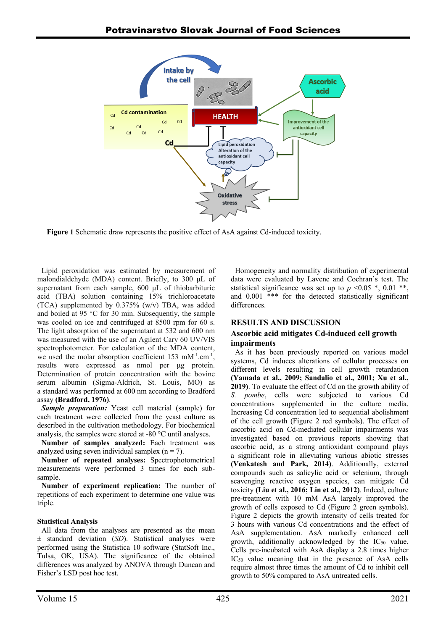

**Figure 1** Schematic draw represents the positive effect of AsA against Cd-induced toxicity.

Lipid peroxidation was estimated by measurement of malondialdehyde (MDA) content. Briefly, to 300 μL of supernatant from each sample, 600 μL of thiobarbituric acid (TBA) solution containing 15% trichloroacetate (TCA) supplemented by 0.375% (w/v) TBA, was added and boiled at 95 °C for 30 min. Subsequently, the sample was cooled on ice and centrifuged at 8500 rpm for 60 s. The light absorption of the supernatant at 532 and 600 nm was measured with the use of an Agilent Cary 60 UV/VIS spectrophotometer. For calculation of the MDA content, we used the molar absorption coefficient  $153 \text{ mM}^{-1}$ .cm<sup>-1</sup>, results were expressed as nmol per μg protein. Determination of protein concentration with the bovine serum albumin (Sigma-Aldrich, St. Louis, MO) as a standard was performed at 600 nm according to Bradford assay **(Bradford, 1976)**.

*Sample preparation:* Yeast cell material (sample) for each treatment were collected from the yeast culture as described in the cultivation methodology. For biochemical analysis, the samples were stored at -80 °C until analyses.

**Number of samples analyzed:** Each treatment was analyzed using seven individual samplex  $(n = 7)$ .

**Number of repeated analyses:** Spectrophotometrical measurements were performed 3 times for each subsample.

**Number of experiment replication:** The number of repetitions of each experiment to determine one value was triple.

# **Statistical Analysis**

All data from the analyses are presented as the mean ± standard deviation (*SD*). Statistical analyses were performed using the Statistica 10 software (StatSoft Inc., Tulsa, OK, USA). The significance of the obtained differences was analyzed by ANOVA through Duncan and Fisher's LSD post hoc test.

Homogeneity and normality distribution of experimental data were evaluated by Lavene and Cochran's test. The statistical significance was set up to  $p \le 0.05$  \*, 0.01 \*\*, and 0.001 \*\*\* for the detected statistically significant differences.

# **RESULTS AND DISCUSSION**

# **Ascorbic acid mitigates Cd-induced cell growth impairments**

As it has been previously reported on various model systems, Cd induces alterations of cellular processes on different levels resulting in cell growth retardation **(Yamada et al., 2009; Sandalio et al., 2001; Xu et al., 2019)**. To evaluate the effect of Cd on the growth ability of *S. pombe*, cells were subjected to various Cd concentrations supplemented in the culture media. Increasing Cd concentration led to sequential abolishment of the cell growth (Figure 2 red symbols). The effect of ascorbic acid on Cd-mediated cellular impairments was investigated based on previous reports showing that ascorbic acid, as a strong antioxidant compound plays a significant role in alleviating various abiotic stresses **(Venkatesh and Park, 2014)**. Additionally, external compounds such as salicylic acid or selenium, through scavenging reactive oxygen species, can mitigate Cd toxicity **(Liu et al., 2016; Lin et al., 2012)**. Indeed, culture pre-treatment with 10 mM AsA largely improved the growth of cells exposed to Cd (Figure 2 green symbols). Figure 2 depicts the growth intensity of cells treated for 3 hours with various Cd concentrations and the effect of AsA supplementation. AsA markedly enhanced cell growth, additionally acknowledged by the  $IC_{50}$  value. Cells pre-incubated with AsA display a 2.8 times higher IC50 value meaning that in the presence of AsA cells require almost three times the amount of Cd to inhibit cell growth to 50% compared to AsA untreated cells.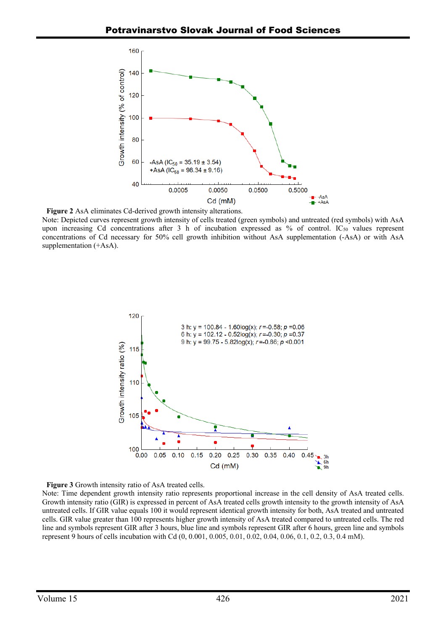

**Figure 2** AsA eliminates Cd-derived growth intensity alterations.

Note: Depicted curves represent growth intensity of cells treated (green symbols) and untreated (red symbols) with AsA upon increasing Cd concentrations after 3 h of incubation expressed as % of control.  $IC_{50}$  values represent concentrations of Cd necessary for 50% cell growth inhibition without AsA supplementation (-AsA) or with AsA supplementation (+AsA).





Note: Time dependent growth intensity ratio represents proportional increase in the cell density of AsA treated cells. Growth intensity ratio (GIR) is expressed in percent of AsA treated cells growth intensity to the growth intensity of AsA untreated cells. If GIR value equals 100 it would represent identical growth intensity for both, AsA treated and untreated cells. GIR value greater than 100 represents higher growth intensity of AsA treated compared to untreated cells. The red line and symbols represent GIR after 3 hours, blue line and symbols represent GIR after 6 hours, green line and symbols represent 9 hours of cells incubation with Cd (0, 0.001, 0.005, 0.01, 0.02, 0.04, 0.06, 0.1, 0.2, 0.3, 0.4 mM).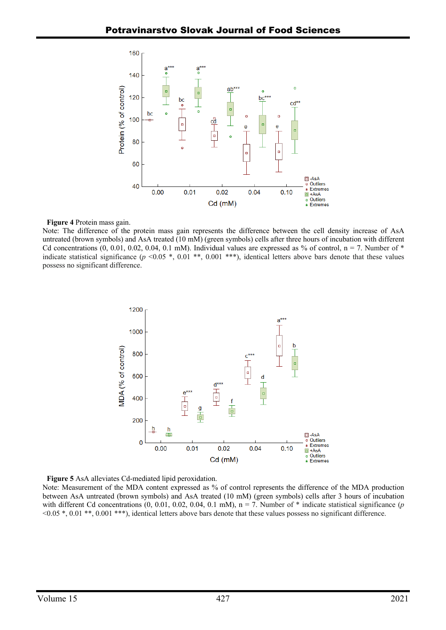

### **Figure 4** Protein mass gain.

Note: The difference of the protein mass gain represents the difference between the cell density increase of AsA untreated (brown symbols) and AsA treated (10 mM) (green symbols) cells after three hours of incubation with different Cd concentrations  $(0, 0.01, 0.02, 0.04, 0.1 \text{ mM})$ . Individual values are expressed as % of control, n = 7. Number of \* indicate statistical significance  $(p \le 0.05 *, 0.01 **, 0.001 **)$ , identical letters above bars denote that these values possess no significant difference.



**Figure 5** AsA alleviates Cd-mediated lipid peroxidation.

Note: Measurement of the MDA content expressed as % of control represents the difference of the MDA production between AsA untreated (brown symbols) and AsA treated (10 mM) (green symbols) cells after 3 hours of incubation with different Cd concentrations  $(0, 0.01, 0.02, 0.04, 0.1 \text{ mM})$ ,  $n = 7$ . Number of  $*$  indicate statistical significance  $(p$ <0.05 \*, 0.01 \*\*, 0.001 \*\*\*), identical letters above bars denote that these values possess no significant difference.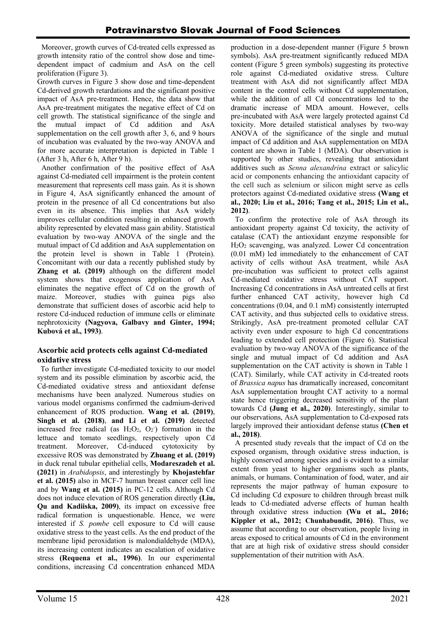Moreover, growth curves of Cd-treated cells expressed as growth intensity ratio of the control show dose and timedependent impact of cadmium and AsA on the cell proliferation (Figure 3).

Growth curves in Figure 3 show dose and time-dependent Cd-derived growth retardations and the significant positive impact of AsA pre-treatment. Hence, the data show that AsA pre-treatment mitigates the negative effect of Cd on cell growth. The statistical significance of the single and the mutual impact of Cd addition and AsA supplementation on the cell growth after 3, 6, and 9 hours of incubation was evaluated by the two-way ANOVA and for more accurate interpretation is depicted in Table 1 (After 3 h, After 6 h, After 9 h).

Another confirmation of the positive effect of AsA against Cd-mediated cell impairment is the protein content measurement that represents cell mass gain. As it is shown in Figure 4, AsA significantly enhanced the amount of protein in the presence of all Cd concentrations but also even in its absence. This implies that AsA widely improves cellular condition resulting in enhanced growth ability represented by elevated mass gain ability. Statistical evaluation by two-way ANOVA of the single and the mutual impact of Cd addition and AsA supplementation on the protein level is shown in Table 1 (Protein). Concomitant with our data a recently published study by **Zhang et al. (2019)** although on the different model system shows that exogenous application of AsA eliminates the negative effect of Cd on the growth of maize. Moreover, studies with guinea pigs also demonstrate that sufficient doses of ascorbic acid help to restore Cd-induced reduction of immune cells or eliminate nephrotoxicity **(Nagyova, Galbavy and Ginter, 1994; Kubová et al., 1993)**.

# **Ascorbic acid protects cells against Cd-mediated oxidative stress**

To further investigate Cd-mediated toxicity to our model system and its possible elimination by ascorbic acid, the Cd-mediated oxidative stress and antioxidant defense mechanisms have been analyzed. Numerous studies on various model organisms confirmed the cadmium-derived enhancement of ROS production. **Wang et al. (2019)**, **Singh et al. (2018)**, **and Li et al. (2019)** detected increased free radical (as  $H_2O_2$ ,  $O_2$ ) formation in the lettuce and tomato seedlings, respectively upon Cd treatment. Moreover, Cd-induced cytotoxicity by excessive ROS was demonstrated by **Zhuang et al. (2019)** in duck renal tubular epithelial cells, **Modareszadeh et al. (2021)** in *Arabidopsis*, and interestingly by **Khojastehfar et al. (2015)** also in MCF-7 human breast cancer cell line and by **Wang et al. (2015)** in PC-12 cells. Although Cd does not induce elevation of ROS generation directly **(Liu, Qu and Kadiiska, 2009)**, its impact on excessive free radical formation is unquestionable. Hence, we were interested if *S. pombe* cell exposure to Cd will cause oxidative stress to the yeast cells. As the end product of the membrane lipid peroxidation is malondialdehyde (MDA), its increasing content indicates an escalation of oxidative stress **(Requena et al., 1996)**. In our experimental conditions, increasing Cd concentration enhanced MDA

production in a dose-dependent manner (Figure 5 brown symbols). AsA pre-treatment significantly reduced MDA content (Figure 5 green symbols) suggesting its protective role against Cd-mediated oxidative stress. Culture treatment with AsA did not significantly affect MDA content in the control cells without Cd supplementation, while the addition of all Cd concentrations led to the dramatic increase of MDA amount. However, cells pre-incubated with AsA were largely protected against Cd toxicity. More detailed statistical analyses by two-way ANOVA of the significance of the single and mutual impact of Cd addition and AsA supplementation on MDA content are shown in Table 1 (MDA). Our observation is supported by other studies, revealing that antioxidant additives such as *Senna alexandrina* extract or salicylic acid or components enhancing the antioxidant capacity of the cell such as selenium or silicon might serve as cells protectors against Cd-mediated oxidative stress **(Wang et al., 2020; Liu et al., 2016; Tang et al., 2015; Lin et al., 2012)**.

To confirm the protective role of AsA through its antioxidant property against Cd toxicity, the activity of catalase (CAT) the antioxidant enzyme responsible for H2O2 scavenging, was analyzed. Lower Cd concentration (0.01 mM) led immediately to the enhancement of CAT activity of cells without AsA treatment, while AsA pre-incubation was sufficient to protect cells against Cd-mediated oxidative stress without CAT support. Increasing Cd concentrations in AsA untreated cells at first further enhanced CAT activity, however high Cd concentrations (0.04, and 0.1 mM) consistently interrupted CAT activity, and thus subjected cells to oxidative stress. Strikingly, AsA pre-treatment promoted cellular CAT activity even under exposure to high Cd concentrations leading to extended cell protection (Figure 6). Statistical evaluation by two-way ANOVA of the significance of the single and mutual impact of Cd addition and AsA supplementation on the CAT activity is shown in Table 1 (CAT). Similarly, while CAT activity in Cd-treated roots of *Brassica napus* has dramatically increased, concomitant AsA supplementation brought CAT activity to a normal state hence triggering decreased sensitivity of the plant towards Cd **(Jung et al., 2020)**. Interestingly, similar to our observations, AsA supplementation to Cd-exposed rats largely improved their antioxidant defense status **(Chen et al., 2018)**.

A presented study reveals that the impact of Cd on the exposed organism, through oxidative stress induction, is highly conserved among species and is evident to a similar extent from yeast to higher organisms such as plants, animals, or humans. Contamination of food, water, and air represents the major pathway of human exposure to Cd including Cd exposure to children through breast milk leads to Cd-mediated adverse effects of human health through oxidative stress induction **(Wu et al., 2016; Kippler et al., 2012; Chunhabundit, 2016)**. Thus, we assume that according to our observation, people living in areas exposed to critical amounts of Cd in the environment that are at high risk of oxidative stress should consider supplementation of their nutrition with AsA.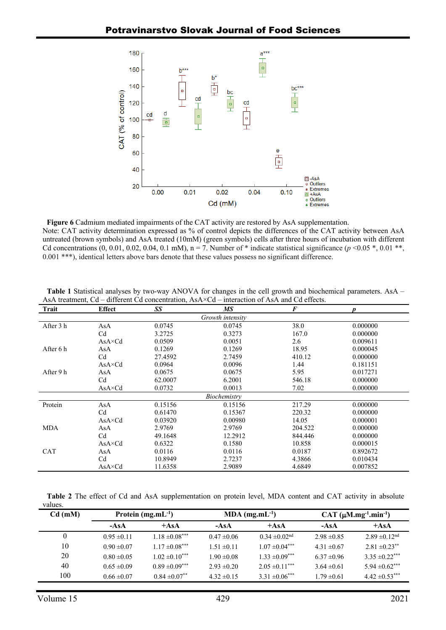

**Figure 6** Cadmium mediated impairments of the CAT activity are restored by AsA supplementation. Note: CAT activity determination expressed as % of control depicts the differences of the CAT activity between AsA untreated (brown symbols) and AsA treated (10mM) (green symbols) cells after three hours of incubation with different Cd concentrations  $(0, 0.01, 0.02, 0.04, 0.1 \text{ mM})$ , n = 7. Number of \* indicate statistical significance  $(p < 0.05$  \*, 0.01 \*\*, 0.001 \*\*\*), identical letters above bars denote that these values possess no significant difference.

| Trait            | <b>Effect</b>   | SS      | МS      | $\boldsymbol{F}$ | $\boldsymbol{D}$ |  |  |  |  |  |
|------------------|-----------------|---------|---------|------------------|------------------|--|--|--|--|--|
| Growth intensity |                 |         |         |                  |                  |  |  |  |  |  |
| After 3 h        | AsA             | 0.0745  | 0.0745  | 38.0             | 0.000000         |  |  |  |  |  |
|                  | C <sub>d</sub>  | 3.2725  | 0.3273  | 167.0            | 0.000000         |  |  |  |  |  |
|                  | $AsA \times Cd$ | 0.0509  | 0.0051  | 2.6              | 0.009611         |  |  |  |  |  |
| After 6 h        | AsA             | 0.1269  | 0.1269  | 18.95            | 0.000045         |  |  |  |  |  |
|                  | C <sub>d</sub>  | 27.4592 | 2.7459  | 410.12           | 0.000000         |  |  |  |  |  |
|                  | $AsA \times Cd$ | 0.0964  | 0.0096  | 1.44             | 0.181151         |  |  |  |  |  |
| After 9 h        | AsA             | 0.0675  | 0.0675  | 5.95             | 0.017271         |  |  |  |  |  |
|                  | C <sub>d</sub>  | 62.0007 | 6.2001  | 546.18           | 0.000000         |  |  |  |  |  |
|                  | $AsA \times Cd$ | 0.0732  | 0.0013  | 7.02             | 0.000000         |  |  |  |  |  |
| Biochemistry     |                 |         |         |                  |                  |  |  |  |  |  |
| Protein          | AsA             | 0.15156 | 0.15156 | 217.29           | 0.000000         |  |  |  |  |  |
|                  | C <sub>d</sub>  | 0.61470 | 0.15367 | 220.32           | 0.000000         |  |  |  |  |  |
|                  | $AsA \times Cd$ | 0.03920 | 0.00980 | 14.05            | 0.000001         |  |  |  |  |  |
| <b>MDA</b>       | AsA             | 2.9769  | 2.9769  | 204.522          | 0.000000         |  |  |  |  |  |
|                  | C <sub>d</sub>  | 49.1648 | 12.2912 | 844.446          | 0.000000         |  |  |  |  |  |
|                  | $AsA \times Cd$ | 0.6322  | 0.1580  | 10.858           | 0.000015         |  |  |  |  |  |
| CAT              | AsA             | 0.0116  | 0.0116  | 0.0187           | 0.892672         |  |  |  |  |  |
|                  | C <sub>d</sub>  | 10.8949 | 2.7237  | 4.3866           | 0.010434         |  |  |  |  |  |
|                  | $AsA \times Cd$ | 11.6358 | 2.9089  | 4.6849           | 0.007852         |  |  |  |  |  |

**Table 1** Statistical analyses by two-way ANOVA for changes in the cell growth and biochemical parameters. AsA – AsA treatment, Cd – different Cd concentration, AsA×Cd – interaction of AsA and Cd effects.

**Table 2** The effect of Cd and AsA supplementation on protein level, MDA content and CAT activity in absolute values.

| $Cd$ (mM) | Protein $(mg.mL^{-1})$ |                    | $MDA$ (mg.mL <sup>-1</sup> ) |                               | CAT $(\mu M.mg^{-1}.min^{-1})$ |                               |
|-----------|------------------------|--------------------|------------------------------|-------------------------------|--------------------------------|-------------------------------|
|           | $-AsA$                 | $+AsA$             | $-AsA$                       | $+AsA$                        | $-AsA$                         | $+AsA$                        |
| $\theta$  | $0.95 \pm 0.11$        | $1.18 \pm 0.08***$ | $0.47 \pm 0.06$              | $0.34 \pm 0.02$ <sup>nd</sup> | $2.98 \pm 0.85$                | $2.89 \pm 0.12$ <sup>nd</sup> |
| 10        | $0.90 \pm 0.07$        | $1.17 \pm 0.08***$ | $1.51 \pm 0.11$              | $1.07 \pm 0.04***$            | $4.31 \pm 0.67$                | $2.81 \pm 0.23$ **            |
| 20        | $0.80 \pm 0.05$        | $1.02 \pm 0.10***$ | $1.90 \pm 0.08$              | $1.33 \pm 0.09***$            | $6.37 \pm 0.96$                | $3.35 \pm 0.22$ ***           |
| 40        | $0.65 \pm 0.09$        | $0.89 \pm 0.09***$ | $2.93 \pm 0.20$              | $2.05 \pm 0.11***$            | $3.64 \pm 0.61$                | $5.94 \pm 0.62$ ***           |
| 100       | $0.66 \pm 0.07$        | $0.84 \pm 0.07$ ** | $4.32 \pm 0.15$              | $3.31 \pm 0.06***$            | $1.79 \pm 0.61$                | $4.42 \pm 0.53$ ***           |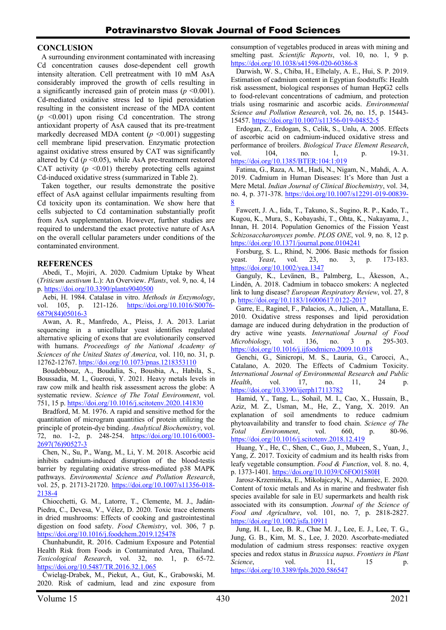### **CONCLUSION**

A surrounding environment contaminated with increasing Cd concentration causes dose-dependent cell growth intensity alteration. Cell pretreatment with 10 mM AsA considerably improved the growth of cells resulting in a significantly increased gain of protein mass  $(p \le 0.001)$ . Cd-mediated oxidative stress led to lipid peroxidation resulting in the consistent increase of the MDA content  $(p \leq 0.001)$  upon rising Cd concentration. The strong antioxidant property of AsA caused that its pre-treatment markedly decreased MDA content  $(p \le 0.001)$  suggesting cell membrane lipid preservation. Enzymatic protection against oxidative stress ensured by CAT was significantly altered by Cd  $(p \le 0.05)$ , while AsA pre-treatment restored CAT activity  $(p \le 0.01)$  thereby protecting cells against Cd-induced oxidative stress (summarized in Table 2).

Taken together, our results demonstrate the positive effect of AsA against cellular impairments resulting from Cd toxicity upon its contamination. We show here that cells subjected to Cd contamination substantially profit from AsA supplementation. However, further studies are required to understand the exact protective nature of AsA on the overall cellular parameters under conditions of the contaminated environment.

## **REFERENCES**

Abedi, T., Mojiri, A. 2020. Cadmium Uptake by Wheat (*Triticum aestivum* L.): An Overview. *Plants*, vol. 9, no. 4, 14 p. https://doi.org/10.3390/plants9040500

Aebi, H. 1984. Catalase in vitro. *Methods in Enzymology*, vol. 105, p. 121-126. https://doi.org/10.1016/S0076-6879(84)05016-3

Awan, A. R., Manfredo, A., Pleiss, J. A. 2013. Lariat sequencing in a unicellular yeast identifies regulated alternative splicing of exons that are evolutionarily conserved with humans. *Proceedings of the National Academy of Sciences of the United States of America*, vol. 110, no. 31, p. 12762-12767. https://doi.org/10.1073/pnas.1218353110

Boudebbouz, A., Boudalia, S., Bousbia, A., Habila, S., Boussadia, M. I., Gueroui, Y. 2021. Heavy metals levels in raw cow milk and health risk assessment across the globe: A systematic review. *Science of The Total Environment*, vol. 751, 15 p. https://doi.org/10.1016/j.scitotenv.2020.141830

Bradford, M. M. 1976. A rapid and sensitive method for the quantitation of microgram quantities of protein utilizing the principle of protein-dye binding. *Analytical Biochemistry*, vol. 72, no. 1-2, p. 248-254. https://doi.org/10.1016/0003- 2697(76)90527-3

Chen, N., Su, P., Wang, M., Li, Y. M. 2018. Ascorbic acid inhibits cadmium-induced disruption of the blood-testis barrier by regulating oxidative stress-mediated p38 MAPK pathways. *Environmental Science and Pollution Research*, vol. 25, p. 21713-21720. https://doi.org/10.1007/s11356-018-2138-4

Chiocchetti, G. M., Latorre, T., Clemente, M. J., Jadán-Piedra, C., Devesa, V., Vélez, D. 2020. Toxic trace elements in dried mushrooms: Effects of cooking and gastrointestinal digestion on food safety. *Food Chemistry*, vol. 306, 7 p. https://doi.org/10.1016/j.foodchem.2019.125478

Chunhabundit, R. 2016. Cadmium Exposure and Potential Health Risk from Foods in Contaminated Area, Thailand. *Toxicological Research*, vol. 32, no. 1, p. 65-72. https://doi.org/10.5487/TR.2016.32.1.065

Ćwieląg-Drabek, M., Piekut, A., Gut, K., Grabowski, M. 2020. Risk of cadmium, lead and zinc exposure from consumption of vegetables produced in areas with mining and smelting past. *Scientific Reports*, vol. 10, no. 1, 9 p. https://doi.org/10.1038/s41598-020-60386-8

Darwish, W. S., Chiba, H., Elhelaly, A. E., Hui, S. P. 2019. Estimation of cadmium content in Egyptian foodstuffs: Health risk assessment, biological responses of human HepG2 cells to food-relevant concentrations of cadmium, and protection trials using rosmarinic and ascorbic acids. *Environmental Science and Pollution Research*, vol. 26, no. 15, p. 15443- 15457. https://doi.org/10.1007/s11356-019-04852-5

Erdogan, Z., Erdogan, S., Celik, S., Unlu, A. 2005. Effects of ascorbic acid on cadmium-induced oxidative stress and performance of broilers. *Biological Trace Element Research*, vol. 104, no. 1, p. 19-31. https://doi.org/10.1385/BTER:104:1:019

Fatima, G., Raza, A. M., Hadi, N., Nigam, N., Mahdi, A. A. 2019. Cadmium in Human Diseases: It's More than Just a Mere Metal. *Indian Journal of Clinical Biochemistry*, vol. 34, no. 4, p. 371-378. https://doi.org/10.1007/s12291-019-00839- 8

Fawcett, J. A., Iida, T., Takuno, S., Sugino, R. P., Kado, T., Kugou, K., Mura, S., Kobayashi, T., Ohta, K., Nakayama, J., Innan, H. 2014. Population Genomics of the Fission Yeast *Schizosaccharomyces pombe*. *PLOS ONE*, vol. 9, no*.* 8, 12 p. https://doi.org/10.1371/journal.pone.0104241

Forsburg, S. L., Rhind, N. 2006. Basic methods for fission yeast. *Yeast*, vol. 23, no. 3, p. 173-183. https://doi.org/10.1002/yea.1347

Ganguly, K., Levänen, B., Palmberg, L., Åkesson, A., Lindén, A. 2018. Cadmium in tobacco smokers: A neglected link to lung disease? *European Respiratory Review*, vol. 27, 8 p. https://doi.org/10.1183/16000617.0122-2017

Garre, E., Raginel, F., Palacios, A., Julien, A., Matallana, E. 2010. Oxidative stress responses and lipid peroxidation damage are induced during dehydration in the production of dry active wine yeasts. *International Journal of Food Microbiology*, vol. 136, no. 3 p. 295-303. https://doi.org/10.1016/j.ijfoodmicro.2009.10.018

Genchi, G., Sinicropi, M. S., Lauria, G., Carocci, A., Catalano, A. 2020. The Effects of Cadmium Toxicity. *International Journal of Environmental Research and Public Health*, vol. 17, no. 11, 24 p. https://doi.org/10.3390/ijerph17113782

Hamid, Y., Tang, L., Sohail, M. I., Cao, X., Hussain, B., Aziz, M. Z., Usman, M., He, Z., Yang, X. 2019. An explanation of soil amendments to reduce cadmium phytoavailability and transfer to food chain. *Science of The Total Environment*, vol. 660, p. 80-96. https://doi.org/10.1016/j.scitotenv.2018.12.419

Huang, Y., He, C., Shen, C., Guo, J., Mubeen, S., Yuan, J., Yang, Z. 2017. Toxicity of cadmium and its health risks from leafy vegetable consumption. *Food & Function*, vol. 8. no. 4, p. 1373-1401. https://doi.org/10.1039/C6FO01580H

Jarosz‐Krzemińska, E., Mikołajczyk, N., Adamiec, E. 2020. Content of toxic metals and As in marine and freshwater fish species available for sale in EU supermarkets and health risk associated with its consumption. *Journal of the Science of Food and Agriculture*, vol. 101, no. 7, p. 2818-2827. https://doi.org/10.1002/jsfa.10911

Jung, H. I., Lee, B. R., Chae M. J., Lee, E. J., Lee, T. G., Jung, G. B., Kim, M. S., Lee, J. 2020. Ascorbate-mediated modulation of cadmium stress responses: reactive oxygen species and redox status in *Brassica napus*. *Frontiers in Plant Science*, vol. 11, 15 p. https://doi.org/10.3389/fpls.2020.586547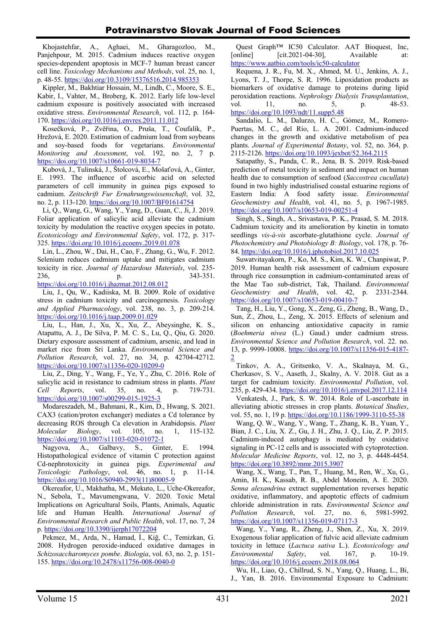Khojastehfar, A., Aghaei, M., Gharagozloo, M., Panjehpour, M. 2015. Cadmium induces reactive oxygen species-dependent apoptosis in MCF-7 human breast cancer cell line. *Toxicology Mechanisms and Methods*, vol. 25, no. 1, p. 48-55. https://doi.org/10.3109/15376516.2014.985353

Kippler, M., Bakhtiar Hossain, M., Lindh, C., Moore, S. E., Kabir, I., Vahter, M., Broberg, K. 2012. Early life low-level cadmium exposure is positively associated with increased oxidative stress. *Environmental Research*, vol. 112, p. 164- 170. https://doi.org/10.1016/j.envres.2011.11.012

Kosečková, P., Zvěřina, O., Pruša, T., Coufalík, P., Hrežová, E. 2020. Estimation of cadmium load from soybeans and soy-based foods for vegetarians. *Environmental Monitoring and Assessment*, vol. 192, no*.* 2, 7 p. https://doi.org/10.1007/s10661-019-8034-7

Kubová, J., Tulinská, J., Štolcová, E., Mošaťová, A., Ginter, E. 1993. The influence of ascorbic acid on selected parameters of cell immunity in guinea pigs exposed to cadmium. *Zeitschrift Fur Ernahrungswissenschaft*, vol. 32, no. 2, p. 113-120. https://doi.org/10.1007/BF01614754

Li, Q., Wang, G., Wang, Y., Yang, D., Guan, C., Ji, J. 2019. Foliar application of salicylic acid alleviate the cadmium toxicity by modulation the reactive oxygen species in potato. *Ecotoxicology and Environmental Safety*, vol. 172, p. 317- 325. https://doi.org/10.1016/j.ecoenv.2019.01.078

Lin, L., Zhou, W., Dai, H., Cao, F., Zhang, G., Wu, F. 2012. Selenium reduces cadmium uptake and mitigates cadmium toxicity in rice. *Journal of Hazardous Materials*, vol. 235- 236, p. 343-351.

https://doi.org/10.1016/j.jhazmat.2012.08.012

Liu, J., Qu, W., Kadiiska, M. B. 2009. Role of oxidative stress in cadmium toxicity and carcinogenesis. *Toxicology and Applied Pharmacology*, vol. 238, no. 3, p. 209-214. https://doi.org/10.1016/j.taap.2009.01.029

Liu, L., Han, J., Xu, X., Xu, Z., Abeysinghe, K. S., Atapattu, A. J., De Silva, P. M. C. S., Lu, Q., Qiu, G. 2020. Dietary exposure assessment of cadmium, arsenic, and lead in market rice from Sri Lanka. *Environmental Science and Pollution Research*, vol. 27, no*.* 34, p. 42704-42712. https://doi.org/10.1007/s11356-020-10209-0

Liu, Z., Ding, Y., Wang, F., Ye, Y., Zhu, C. 2016. Role of salicylic acid in resistance to cadmium stress in plants. *Plant Cell Reports*, vol. 35, no. 4, p. 719-731. https://doi.org/10.1007/s00299-015-1925-3

Modareszadeh, M., Bahmani, R., Kim, D., Hwang, S. 2021. CAX3 (cation/proton exchanger) mediates a Cd tolerance by decreasing ROS through Ca elevation in Arabidopsis. *Plant Molecular Biology*, vol. 105, no. 1, 115-132. https://doi.org/10.1007/s11103-020-01072-1

Nagyova, A., Galbavy, S., Ginter, E. 1994. Histopathological evidence of vitamin C protection against Cd-nephrotoxicity in guinea pigs. *Experimental and Toxicologic Pathology*, vol. 46, no. 1, p. 11-14. https://doi.org/10.1016/S0940-2993(11)80005-9

Okereafor, U., Makhatha, M., Mekuto, L., Uche-Okereafor, N., Sebola, T., Mavumengwana, V. 2020. Toxic Metal Implications on Agricultural Soils, Plants, Animals, Aquatic life and Human Health. *International Journal of Environmental Research and Public Health*, vol. 17, no. 7, 24 p. https://doi.org/10.3390/ijerph17072204

Pekmez, M., Arda, N., Hamad, İ., Kiğ, C., Temizkan, G. 2008. Hydrogen peroxide-induced oxidative damages in *Schizosaccharomyces pombe*. *Biologia*, vol. 63, no. 2, p. 151- 155. https://doi.org/10.2478/s11756-008-0040-0

Quest Graph™ IC50 Calculator. AAT Bioquest, Inc, [online] [cit.2021-04-30], Available at: https://www.aatbio.com/tools/ic50-calculator

Requena, J. R., Fu, M. X., Ahmed, M. U., Jenkins, A. J., Lyons, T. J., Thorpe, S. R. 1996. Lipoxidation products as biomarkers of oxidative damage to proteins during lipid peroxidation reactions. *Nephrology Dialysis Transplantation*, vol. 11, no. 5, p. 48-53. https://doi.org/10.1093/ndt/11.supp5.48

Sandalio, L. M., Dalurzo, H. C., Gómez, M., Romero-Puertas, M. C., del Río, L. A. 2001. Cadmium‐induced changes in the growth and oxidative metabolism of pea plants. *Journal of Experimental Botany*, vol. 52, no. 364, p. 2115-2126. https://doi.org/10.1093/jexbot/52.364.2115

Satapathy, S., Panda, C. R., Jena, B. S. 2019. Risk-based prediction of metal toxicity in sediment and impact on human health due to consumption of seafood (*Saccostrea cucullata*) found in two highly industrialised coastal estuarine regions of Eastern India: A food safety issue. *Environmental Geochemistry and Health*, vol. 41, no*.* 5, p. 1967-1985. https://doi.org/10.1007/s10653-019-00251-4

Singh, S., Singh, A., Srivastava, P. K., Prasad, S. M. 2018. Cadmium toxicity and its amelioration by kinetin in tomato seedlings *vis-à-vis* ascorbate-glutathione cycle. *Journal of Photochemistry and Photobiology B: Biology*, vol. 178, p. 76- 84. https://doi.org/10.1016/j.jphotobiol.2017.10.025

Suwatvitayakorn, P., Ko, M. S., Kim, K. W., Chanpiwat, P. 2019. Human health risk assessment of cadmium exposure through rice consumption in cadmium-contaminated areas of the Mae Tao sub-district, Tak, Thailand. *Environmental Geochemistry and Health*, vol. 42, p. 2331-2344. https://doi.org/10.1007/s10653-019-00410-7

Tang, H., Liu, Y., Gong, X., Zeng, G., Zheng, B., Wang, D., Sun, Z., Zhou, L., Zeng, X. 2015. Effects of selenium and silicon on enhancing antioxidative capacity in ramie (*Boehmeria nivea* (L.) Gaud.) under cadmium stress. *Environmental Science and Pollution Research*, vol. 22. no. 13, p. 9999-10008. https://doi.org/10.1007/s11356-015-4187- 2

Tinkov, A. A., Gritsenko, V. A., Skalnaya, M. G., Cherkasov, S. V., Aaseth, J., Skalny, A. V. 2018. Gut as a target for cadmium toxicity. *Environmental Pollution*, vol. 235, p. 429-434. https://doi.org/10.1016/j.envpol.2017.12.114

Venkatesh, J., Park, S. W. 2014. Role of L-ascorbate in alleviating abiotic stresses in crop plants. *Botanical Studies*, vol. 55, no. 1, 19 p. https://doi.org/10.1186/1999-3110-55-38

Wang, Q. W., Wang, Y., Wang, T., Zhang, K. B., Yuan, Y., Bian, J. C., Liu, X. Z., Gu, J. H., Zhu, J. Q., Liu, Z. P. 2015. Cadmium-induced autophagy is mediated by oxidative signaling in PC-12 cells and is associated with cytoprotection. *Molecular Medicine Reports*, vol. 12, no 3, p. 4448-4454. https://doi.org/10.3892/mmr.2015.3907

Wang, X., Wang, T., Pan, T., Huang, M., Ren, W., Xu, G., Amin, H. K., Kassab, R. B., Abdel Moneim, A. E. 2020. *Senna alexandrina* extract supplementation reverses hepatic oxidative, inflammatory, and apoptotic effects of cadmium chloride administration in rats. *Environmental Science and Pollution Research*, vol. 27, no. 6, 5981-5992. https://doi.org/10.1007/s11356-019-07117-3

Wang, Y., Yang, R., Zheng, J., Shen, Z., Xu, X. 2019. Exogenous foliar application of fulvic acid alleviate cadmium toxicity in lettuce (*Lactuca sativa* L.). *Ecotoxicology and Environmental Safety*, vol. 167, p. 10-19. https://doi.org/10.1016/j.ecoenv.2018.08.064

Wu, H., Liao, Q., Chillrud, S. N., Yang, Q., Huang, L., Bi, J., Yan, B. 2016. Environmental Exposure to Cadmium: